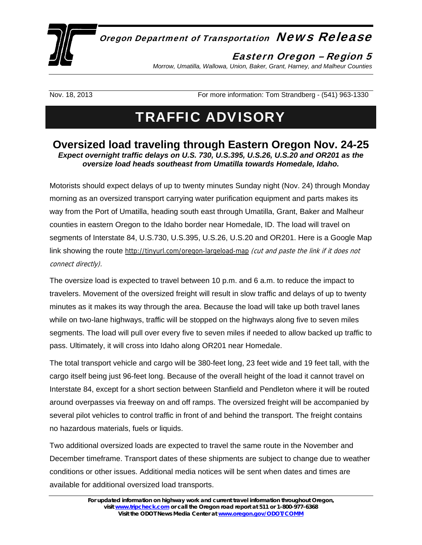

## Oregon Department of Transportation News Release

## Eastern Oregon – Region 5

*Morrow, Umatilla, Wallowa, Union, Baker, Grant, Harney, and Malheur Counties* 

Nov. 18, 2013 **For more information: Tom Strandberg - (541) 963-1330** For more information: Tom Strandberg - (541) 963-1330

## TRAFFIC ADVISORY

## **Oversized load traveling through Eastern Oregon Nov. 24-25**  *Expect overnight traffic delays on U.S. 730, U.S.395, U.S.26, U.S.20 and OR201 as the oversize load heads southeast from Umatilla towards Homedale, Idaho.*

Motorists should expect delays of up to twenty minutes Sunday night (Nov. 24) through Monday morning as an oversized transport carrying water purification equipment and parts makes its way from the Port of Umatilla, heading south east through Umatilla, Grant, Baker and Malheur counties in eastern Oregon to the Idaho border near Homedale, ID. The load will travel on segments of Interstate 84, U.S.730, U.S.395, U.S.26, U.S.20 and OR201. Here is a Google Map link showing the route [http://tinyurl.com/oregon-largeload-map](https://owa.odot.state.or.us/owa/redir.aspx?C=b77969e29fc04ba5ad9ee80ca5bf013a&URL=http%3a%2f%2ftinyurl.com%2foregon-largeload-map) (cut and paste the link if it does not connect directly).

The oversize load is expected to travel between 10 p.m. and 6 a.m. to reduce the impact to travelers. Movement of the oversized freight will result in slow traffic and delays of up to twenty minutes as it makes its way through the area. Because the load will take up both travel lanes while on two-lane highways, traffic will be stopped on the highways along five to seven miles segments. The load will pull over every five to seven miles if needed to allow backed up traffic to pass. Ultimately, it will cross into Idaho along OR201 near Homedale.

The total transport vehicle and cargo will be 380-feet long, 23 feet wide and 19 feet tall, with the cargo itself being just 96-feet long. Because of the overall height of the load it cannot travel on Interstate 84, except for a short section between Stanfield and Pendleton where it will be routed around overpasses via freeway on and off ramps. The oversized freight will be accompanied by several pilot vehicles to control traffic in front of and behind the transport. The freight contains no hazardous materials, fuels or liquids.

Two additional oversized loads are expected to travel the same route in the November and December timeframe. Transport dates of these shipments are subject to change due to weather conditions or other issues. Additional media notices will be sent when dates and times are available for additional oversized load transports.